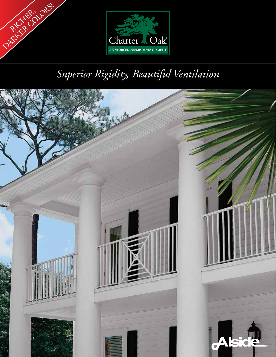



# *Superior Rigidity, Beautiful Ventilation*

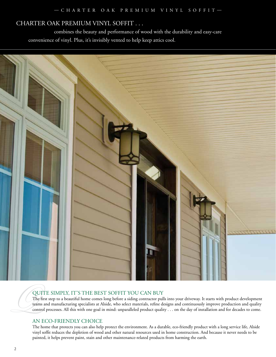# CHARTER OAK PREMIUM VINYL SOFFIT . . .

 combines the beauty and performance of wood with the durability and easy-care convenience of vinyl. Plus, it's invisibly vented to help keep attics cool.



QUITE SIMPLY, IT'S THE BEST SOFFIT YOU CAN BUY<br>The first step to a beautiful home comes long before a siding contractor pul<br>teams and manufacturing specialists at Alside, who select materials, refine d<br>control processes. A The first step to a beautiful home comes long before a siding contractor pulls into your driveway. It starts with product development teams and manufacturing specialists at Alside, who select materials, refine designs and continuously improve production and quality control processes. All this with one goal in mind: unparalleled product quality . . . on the day of installation and for decades to come.

# AN ECO-FRIENDLY CHOICE

The home that protects you can also help protect the environment. As a durable, eco-friendly product with a long service life, Alside vinyl soffit reduces the depletion of wood and other natural resources used in home construction. And because it never needs to be painted, it helps prevent paint, stain and other maintenance-related products from harming the earth.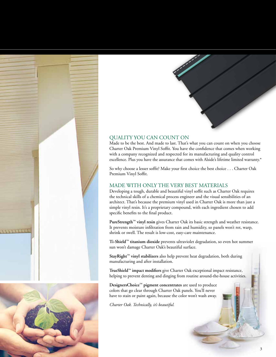





#### QUALITY YOU CAN COUNT ON

Made to be the best. And made to last. That's what you can count on when you choose Charter Oak Premium Vinyl Soffit. You have the confidence that comes when working with a company recognized and respected for its manufacturing and quality control excellence. Plus you have the assurance that comes with Alside's lifetime limited warranty.\*

So why choose a lesser soffit? Make your first choice the best choice . . . Charter Oak Premium Vinyl Soffit.

#### MADE WITH ONLY THE VERY BEST MATERIALS

Developing a tough, durable and beautiful vinyl soffit such as Charter Oak requires the technical skills of a chemical process engineer and the visual sensibilities of an architect. That's because the premium vinyl used in Charter Oak is more than just a simple vinyl resin. It's a proprietary compound, with each ingredient chosen to add specific benefits to the final product.

**PureStrength™ vinyl resin** gives Charter Oak its basic strength and weather resistance. It prevents moisture infiltration from rain and humidity, so panels won't rot, warp, shrink or swell. The result is low-cost, easy-care maintenance.

**Ti-Shield™ titanium dioxide** prevents ultraviolet degradation, so even hot summer sun won't damage Charter Oak's beautiful surface.

**StayRight™ vinyl stabilizers** also help prevent heat degradation, both during manufacturing and after installation.

**TrueShield™ impact modifiers** give Charter Oak exceptional impact resistance, helping to prevent denting and dinging from routine around-the-house activities.

**DesignersChoice™ pigment concentrates** are used to produce colors that go clear through Charter Oak panels. You'll never have to stain or paint again, because the color won't wash away.

*Charter Oak. Technically, it's beautiful.*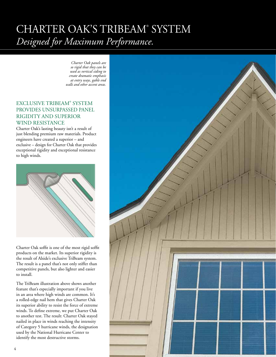# CHARTER OAK'S TRIBEAM® SYSTEM *Designed for Maximum Performance.*

 *Charter Oak panels are so rigid that they can be used as vertical siding to create dramatic emphasis at entry ways, gable end walls and other accent areas.*

### EXCLUSIVE TRIBEAM® SYSTEM PROVIDES UNSURPASSED PANEL RIGIDITY AND SUPERIOR WIND RESISTANCE

Charter Oak's lasting beauty isn't a result of just blending premium raw materials. Product engineers have created a superior – and exclusive – design for Charter Oak that provides exceptional rigidity and exceptional resistance to high winds.



Charter Oak soffit is one of the most rigid soffit products on the market. Its superior rigidity is the result of Alside's exclusive TriBeam system. The result is a panel that's not only stiffer than competitive panels, but also lighter and easier to install.

The TriBeam illustration above shows another feature that's especially important if you live in an area where high winds are common. It's a rolled-edge nail hem that gives Charter Oak its superior ability to resist the force of extreme winds. To define extreme, we put Charter Oak to another test. The result: Charter Oak stayed nailed in place in winds reaching the intensity of Category 5 hurricane winds, the designation used by the National Hurricane Center to identify the most destructive storms.

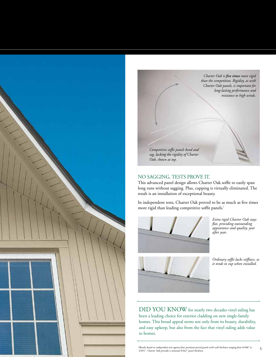



#### NO SAGGING. TESTS PROVE IT.

This advanced panel design allows Charter Oak soffit to easily span long runs without sagging. Plus, cupping is virtually eliminated. The result is an installation of exceptional beauty.

In independent tests, Charter Oak proved to be as much as five times more rigid than leading competitive soffit panels.†



*Extra rigid Charter Oak stays flat, providing outstanding appearance and quality, year after year.*

*Ordinary soffit lacks stiffness, so it tends to cup when installed.*

DID YOU KNOW for nearly two decades vinyl siding has been a leading choice for exterior cladding on new single-family homes. This broad appeal stems not only from its beauty, durability, and easy upkeep, but also from the fact that vinyl siding adds value to homes.

*†Results based on independent tests against four premium-priced panels with wall thickness ranging from 0.048" to 0.051". Charter Oak provides a nominal 0.042" panel thickness.* 5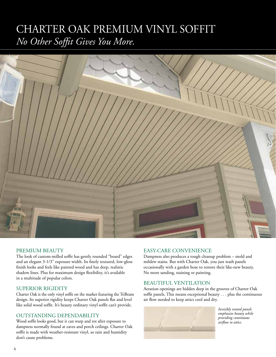# CHARTER OAK PREMIUM VINYL SOFFIT *No Other Soffit Gives You More.*



#### PREMIUM BEAUTY

The look of custom-milled soffit has gently rounded "board" edges and an elegant 3-1/3" exposure width. Its finely textured, low-gloss finish looks and feels like painted wood and has deep, realistic shadow lines. Plus for maximum design flexibility, it's available in a multitude of popular colors.

#### SUPERIOR RIGIDITY

Charter Oak is the only vinyl soffit on the market featuring the TriBeam design. Its superior rigidity keeps Charter Oak panels flat and level like solid wood soffit. It's beauty ordinary vinyl soffit can't provide.

#### OUTSTANDING DEPENDABILITY

Wood soffit looks good, but it can warp and rot after exposure to dampness normally found at eaves and porch ceilings. Charter Oak soffit is made with weather-resistant vinyl, so rain and humidity don't cause problems.

#### EASY-CARE CONVENIENCE

Dampness also produces a tough cleanup problem – mold and mildew stains. But with Charter Oak, you just wash panels occasionally with a garden hose to restore their like-new beauty. No more sanding, staining or painting.

#### BEAUTIFUL VENTILATION

Aeration openings are hidden deep in the grooves of Charter Oak soffit panels. This means exceptional beauty . . . plus the continuous air flow needed to keep attics cool and dry.

![](_page_5_Picture_12.jpeg)

*Invisibly vented panels emphasize beauty while providing continuous airflow to attics.*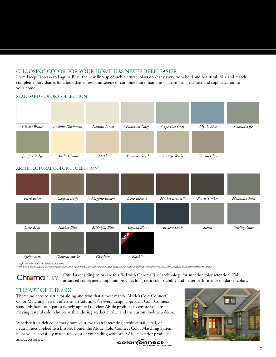### CHOOSING COLOR FOR YOUR HOME HAS NEVER BEEN EASIER

From Deep Espresso to Laguna Blue, the new line-up of architectural colors don't shy away from bold and beautiful. Mix and match complementary shades for a look that is fresh and serene or combine more than one shade to bring richness and sophistication to your home.

![](_page_6_Figure_2.jpeg)

### ARCHITECTURAL COLOR COLLECTION¥

![](_page_6_Figure_4.jpeg)

*\*\*Soffit use only. ¥Not available in all markets.*

*Note: Colors are as accurate as printing techniques allow. Make final color selections using actual vinyl samples. Color availability may vary by market. See your Alside Sales Representative for details.*

Our darker siding colors are fortified with ChromaTrue® technology for superior color retention. This **Chroma**True<sup>®</sup> advanced copolymer compound provides long-term color stability and better performance on darker colors.

# THE ART OF THE MIX

There's no need to settle for siding and trim that almost match. Alside's ColorConnect® Color Matching System offers smart solutions for every design approach. ColorConnect standards have been painstakingly applied to select Alside products to ensure you are making tasteful color choices with enduring aesthetic value and the custom look you desire.

Whether it's a rich color that draws your eye to an interesting architectural detail, or neutral hues applied to a historic home, the Alside ColorConnect Color Matching System helps you successfully match the color of your siding with other Alside exterior products and accessories.

![](_page_6_Picture_11.jpeg)

![](_page_6_Picture_12.jpeg)